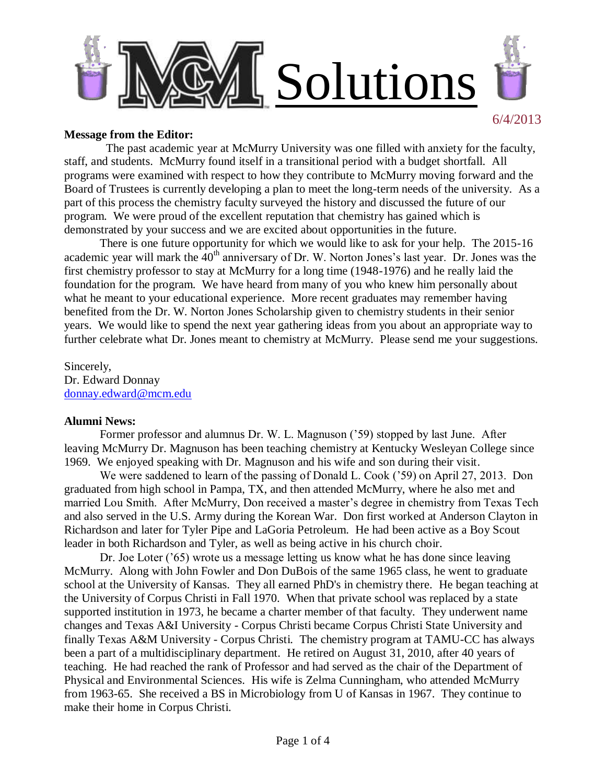

### **Message from the Editor:**

 The past academic year at McMurry University was one filled with anxiety for the faculty, staff, and students. McMurry found itself in a transitional period with a budget shortfall. All programs were examined with respect to how they contribute to McMurry moving forward and the Board of Trustees is currently developing a plan to meet the long-term needs of the university. As a part of this process the chemistry faculty surveyed the history and discussed the future of our program. We were proud of the excellent reputation that chemistry has gained which is demonstrated by your success and we are excited about opportunities in the future.

There is one future opportunity for which we would like to ask for your help. The 2015-16 academic year will mark the 40<sup>th</sup> anniversary of Dr. W. Norton Jones's last year. Dr. Jones was the first chemistry professor to stay at McMurry for a long time (1948-1976) and he really laid the foundation for the program. We have heard from many of you who knew him personally about what he meant to your educational experience. More recent graduates may remember having benefited from the Dr. W. Norton Jones Scholarship given to chemistry students in their senior years. We would like to spend the next year gathering ideas from you about an appropriate way to further celebrate what Dr. Jones meant to chemistry at McMurry. Please send me your suggestions.

Sincerely, Dr. Edward Donnay [donnay.edward@mcm.edu](mailto:donnay.edward@mcm.edu)

### **Alumni News:**

Former professor and alumnus Dr. W. L. Magnuson ('59) stopped by last June. After leaving McMurry Dr. Magnuson has been teaching chemistry at Kentucky Wesleyan College since 1969. We enjoyed speaking with Dr. Magnuson and his wife and son during their visit.

We were saddened to learn of the passing of Donald L. Cook ('59) on April 27, 2013. Don graduated from high school in Pampa, TX, and then attended McMurry, where he also met and married Lou Smith. After McMurry, Don received a master's degree in chemistry from Texas Tech and also served in the U.S. Army during the Korean War. Don first worked at Anderson Clayton in Richardson and later for Tyler Pipe and LaGoria Petroleum. He had been active as a Boy Scout leader in both Richardson and Tyler, as well as being active in his church choir.

Dr. Joe Loter ('65) wrote us a message letting us know what he has done since leaving McMurry. Along with John Fowler and Don DuBois of the same 1965 class, he went to graduate school at the University of Kansas. They all earned PhD's in chemistry there. He began teaching at the University of Corpus Christi in Fall 1970. When that private school was replaced by a state supported institution in 1973, he became a charter member of that faculty. They underwent name changes and Texas A&I University - Corpus Christi became Corpus Christi State University and finally Texas A&M University - Corpus Christi. The chemistry program at TAMU-CC has always been a part of a multidisciplinary department. He retired on August 31, 2010, after 40 years of teaching. He had reached the rank of Professor and had served as the chair of the Department of Physical and Environmental Sciences. His wife is Zelma Cunningham, who attended McMurry from 1963-65. She received a BS in Microbiology from U of Kansas in 1967. They continue to make their home in Corpus Christi.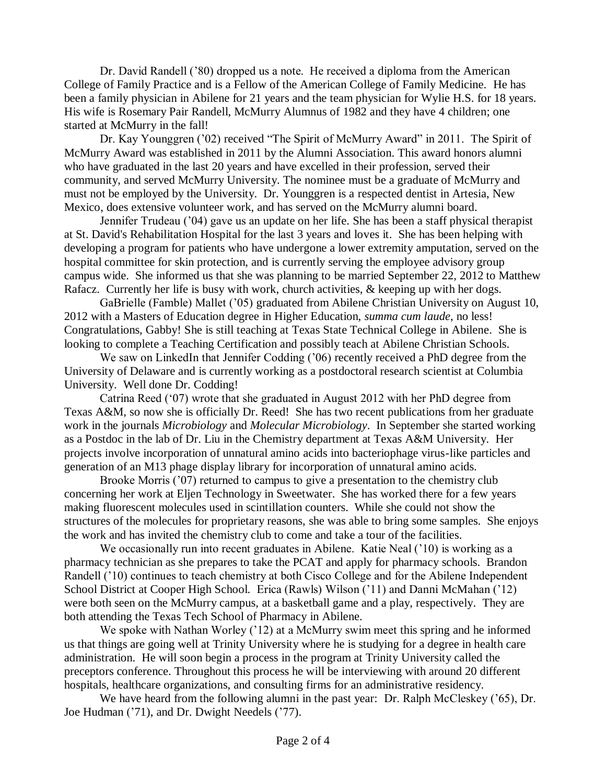Dr. David Randell ('80) dropped us a note. He received a diploma from the American College of Family Practice and is a Fellow of the American College of Family Medicine. He has been a family physician in Abilene for 21 years and the team physician for Wylie H.S. for 18 years. His wife is Rosemary Pair Randell, McMurry Alumnus of 1982 and they have 4 children; one started at McMurry in the fall!

Dr. Kay Younggren ('02) received "The Spirit of McMurry Award" in 2011. The Spirit of McMurry Award was established in 2011 by the Alumni Association. This award honors alumni who have graduated in the last 20 years and have excelled in their profession, served their community, and served McMurry University. The nominee must be a graduate of McMurry and must not be employed by the University. Dr. Younggren is a respected dentist in Artesia, New Mexico, does extensive volunteer work, and has served on the McMurry alumni board.

Jennifer Trudeau ('04) gave us an update on her life. She has been a staff physical therapist at St. David's Rehabilitation Hospital for the last 3 years and loves it. She has been helping with developing a program for patients who have undergone a lower extremity amputation, served on the hospital committee for skin protection, and is currently serving the employee advisory group campus wide. She informed us that she was planning to be married September 22, 2012 to Matthew Rafacz. Currently her life is busy with work, church activities, & keeping up with her dogs.

GaBrielle (Famble) Mallet ('05) graduated from Abilene Christian University on August 10, 2012 with a Masters of Education degree in Higher Education, *summa cum laude*, no less! Congratulations, Gabby! She is still teaching at Texas State Technical College in Abilene. She is looking to complete a Teaching Certification and possibly teach at Abilene Christian Schools.

We saw on LinkedIn that Jennifer Codding ('06) recently received a PhD degree from the University of Delaware and is currently working as a postdoctoral research scientist at Columbia University. Well done Dr. Codding!

Catrina Reed ('07) wrote that she graduated in August 2012 with her PhD degree from Texas A&M, so now she is officially Dr. Reed! She has two recent publications from her graduate work in the journals *Microbiology* and *Molecular Microbiology*. In September she started working as a Postdoc in the lab of Dr. Liu in the Chemistry department at Texas A&M University. Her projects involve incorporation of unnatural amino acids into bacteriophage virus-like particles and generation of an M13 phage display library for incorporation of unnatural amino acids.

Brooke Morris ('07) returned to campus to give a presentation to the chemistry club concerning her work at Eljen Technology in Sweetwater. She has worked there for a few years making fluorescent molecules used in scintillation counters. While she could not show the structures of the molecules for proprietary reasons, she was able to bring some samples. She enjoys the work and has invited the chemistry club to come and take a tour of the facilities.

We occasionally run into recent graduates in Abilene. Katie Neal ('10) is working as a pharmacy technician as she prepares to take the PCAT and apply for pharmacy schools. Brandon Randell ('10) continues to teach chemistry at both Cisco College and for the Abilene Independent School District at Cooper High School. Erica (Rawls) Wilson ('11) and Danni McMahan ('12) were both seen on the McMurry campus, at a basketball game and a play, respectively. They are both attending the Texas Tech School of Pharmacy in Abilene.

We spoke with Nathan Worley ('12) at a McMurry swim meet this spring and he informed us that things are going well at Trinity University where he is studying for a degree in health care administration. He will soon begin a process in the program at Trinity University called the preceptors conference. Throughout this process he will be interviewing with around 20 different hospitals, healthcare organizations, and consulting firms for an administrative residency.

We have heard from the following alumni in the past year: Dr. Ralph McCleskey ('65), Dr. Joe Hudman ('71), and Dr. Dwight Needels ('77).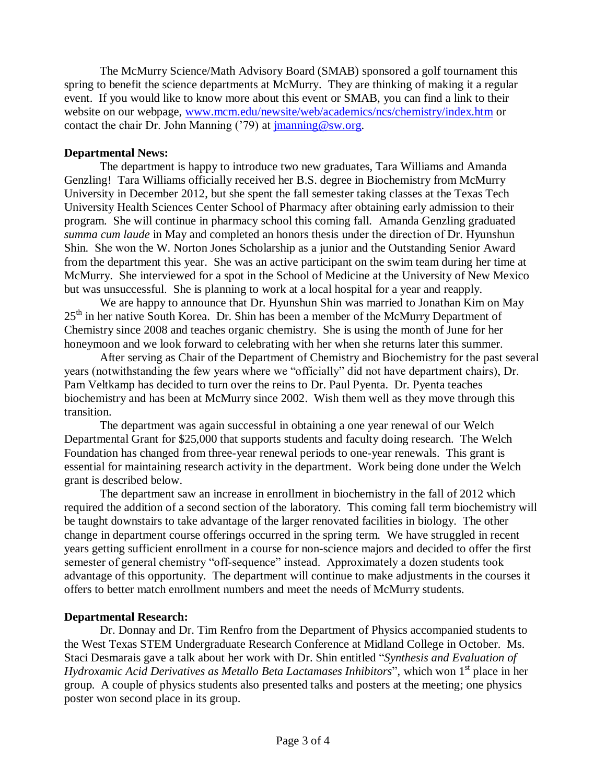The McMurry Science/Math Advisory Board (SMAB) sponsored a golf tournament this spring to benefit the science departments at McMurry. They are thinking of making it a regular event. If you would like to know more about this event or SMAB, you can find a link to their website on our webpage, [www.mcm.edu/newsite/web/academics/ncs/chemistry/index.htm](http://www.mcm.edu/newsite/web/academics/ncs/chemistry/index.htm) or contact the chair Dr. John Manning ('79) at  $\overline{\text{imanning @sw.org}}$ .

## **Departmental News:**

The department is happy to introduce two new graduates, Tara Williams and Amanda Genzling! Tara Williams officially received her B.S. degree in Biochemistry from McMurry University in December 2012, but she spent the fall semester taking classes at the Texas Tech University Health Sciences Center School of Pharmacy after obtaining early admission to their program. She will continue in pharmacy school this coming fall. Amanda Genzling graduated *summa cum laude* in May and completed an honors thesis under the direction of Dr. Hyunshun Shin. She won the W. Norton Jones Scholarship as a junior and the Outstanding Senior Award from the department this year. She was an active participant on the swim team during her time at McMurry. She interviewed for a spot in the School of Medicine at the University of New Mexico but was unsuccessful. She is planning to work at a local hospital for a year and reapply.

We are happy to announce that Dr. Hyunshun Shin was married to Jonathan Kim on May  $25<sup>th</sup>$  in her native South Korea. Dr. Shin has been a member of the McMurry Department of Chemistry since 2008 and teaches organic chemistry. She is using the month of June for her honeymoon and we look forward to celebrating with her when she returns later this summer.

After serving as Chair of the Department of Chemistry and Biochemistry for the past several years (notwithstanding the few years where we "officially" did not have department chairs), Dr. Pam Veltkamp has decided to turn over the reins to Dr. Paul Pyenta. Dr. Pyenta teaches biochemistry and has been at McMurry since 2002. Wish them well as they move through this transition.

The department was again successful in obtaining a one year renewal of our Welch Departmental Grant for \$25,000 that supports students and faculty doing research. The Welch Foundation has changed from three-year renewal periods to one-year renewals. This grant is essential for maintaining research activity in the department. Work being done under the Welch grant is described below.

The department saw an increase in enrollment in biochemistry in the fall of 2012 which required the addition of a second section of the laboratory. This coming fall term biochemistry will be taught downstairs to take advantage of the larger renovated facilities in biology. The other change in department course offerings occurred in the spring term. We have struggled in recent years getting sufficient enrollment in a course for non-science majors and decided to offer the first semester of general chemistry "off-sequence" instead. Approximately a dozen students took advantage of this opportunity. The department will continue to make adjustments in the courses it offers to better match enrollment numbers and meet the needs of McMurry students.

# **Departmental Research:**

Dr. Donnay and Dr. Tim Renfro from the Department of Physics accompanied students to the West Texas STEM Undergraduate Research Conference at Midland College in October. Ms. Staci Desmarais gave a talk about her work with Dr. Shin entitled "*Synthesis and Evaluation of Hydroxamic Acid Derivatives as Metallo Beta Lactamases Inhibitors*", which won 1<sup>st</sup> place in her group. A couple of physics students also presented talks and posters at the meeting; one physics poster won second place in its group.